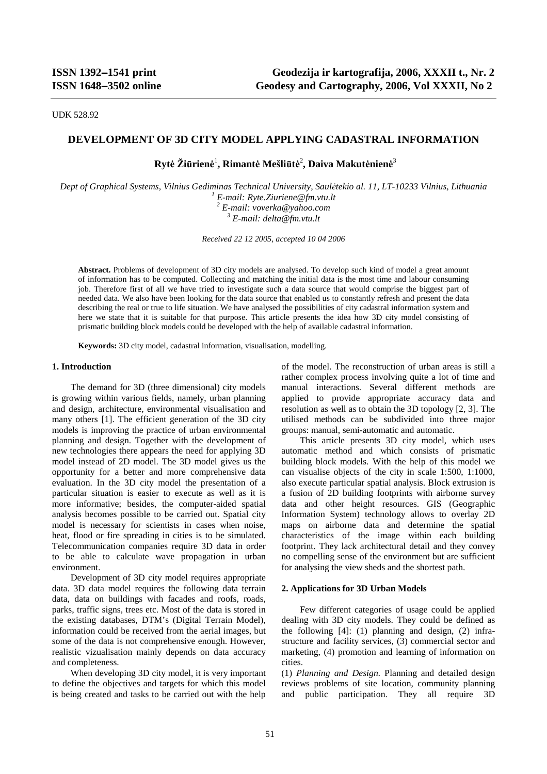UDK 528.92

# **DEVELOPMENT OF 3D CITY MODEL APPLYING CADASTRAL INFORMATION**

# **Rytė Žiūrienė** 1 **, Rimantė Mešliūtė** 2 **, Daiva Makutėnienė** 3

*Dept of Graphical Systems, Vilnius Gediminas Technical University, Saul<sup>ė</sup>tekio al. 11, LT-10233 Vilnius, Lithuania 1 E-mail: Ryte.Ziuriene@fm.vtu.lt*  <sup>2</sup> E-mail: voverka@yahoo.com  *E-mail: delta@fm.vtu.lt* 

*Received 22 12 2005, accepted 10 04 2006*

**Abstract.** Problems of development of 3D city models are analysed. To develop such kind of model a great amount of information has to be computed. Collecting and matching the initial data is the most time and labour consuming job. Therefore first of all we have tried to investigate such a data source that would comprise the biggest part of needed data. We also have been looking for the data source that enabled us to constantly refresh and present the data describing the real or true to life situation. We have analysed the possibilities of city cadastral information system and here we state that it is suitable for that purpose. This article presents the idea how 3D city model consisting of prismatic building block models could be developed with the help of available cadastral information.

**Keywords:** 3D city model, cadastral information, visualisation, modelling.

### **1. Introduction**

The demand for 3D (three dimensional) city models is growing within various fields, namely, urban planning and design, architecture, environmental visualisation and many others [1]. The efficient generation of the 3D city models is improving the practice of urban environmental planning and design. Together with the development of new technologies there appears the need for applying 3D model instead of 2D model. The 3D model gives us the opportunity for a better and more comprehensive data evaluation. In the 3D city model the presentation of a particular situation is easier to execute as well as it is more informative; besides, the computer-aided spatial analysis becomes possible to be carried out. Spatial city model is necessary for scientists in cases when noise, heat, flood or fire spreading in cities is to be simulated. Telecommunication companies require 3D data in order to be able to calculate wave propagation in urban environment.

Development of 3D city model requires appropriate data. 3D data model requires the following data terrain data, data on buildings with facades and roofs, roads, parks, traffic signs, trees etc. Most of the data is stored in the existing databases, DTM's (Digital Terrain Model), information could be received from the aerial images, but some of the data is not comprehensive enough. However, realistic vizualisation mainly depends on data accuracy and completeness.

When developing 3D city model, it is very important to define the objectives and targets for which this model is being created and tasks to be carried out with the help of the model. The reconstruction of urban areas is still a rather complex process involving quite a lot of time and manual interactions. Several different methods are applied to provide appropriate accuracy data and resolution as well as to obtain the 3D topology [2, 3]. The utilised methods can be subdivided into three major groups: manual, semi-automatic and automatic.

 This article presents 3D city model, which uses automatic method and which consists of prismatic building block models. With the help of this model we can visualise objects of the city in scale 1:500, 1:1000, also execute particular spatial analysis. Block extrusion is a fusion of 2D building footprints with airborne survey data and other height resources. GIS (Geographic Information System) technology allows to overlay 2D maps on airborne data and determine the spatial characteristics of the image within each building footprint. They lack architectural detail and they convey no compelling sense of the environment but are sufficient for analysing the view sheds and the shortest path.

### **2. Applications for 3D Urban Models**

 Few different categories of usage could be applied dealing with 3D city models. They could be defined as the following  $[4]$ : (1) planning and design, (2) infrastructure and facility services, (3) commercial sector and marketing, (4) promotion and learning of information on cities.

(1) *Planning and Design.* Planning and detailed design reviews problems of site location, community planning and public participation. They all require 3D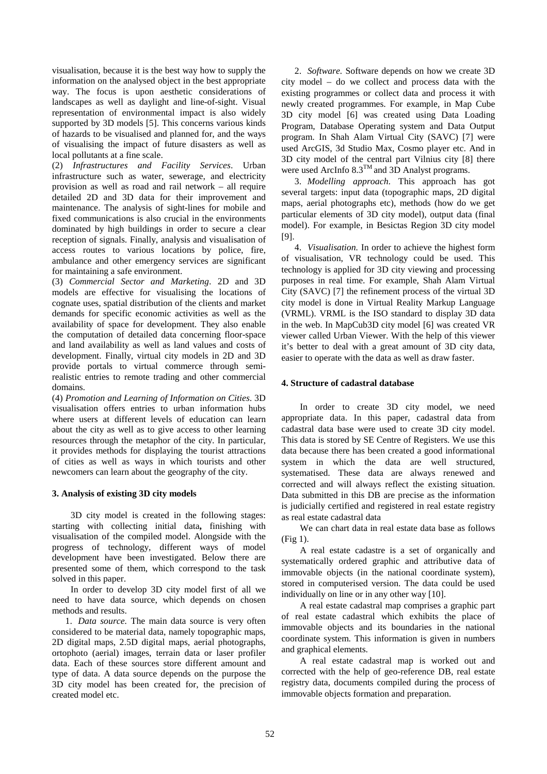visualisation, because it is the best way how to supply the information on the analysed object in the best appropriate way. The focus is upon aesthetic considerations of landscapes as well as daylight and line-of-sight. Visual representation of environmental impact is also widely supported by 3D models [5]. This concerns various kinds of hazards to be visualised and planned for, and the ways of visualising the impact of future disasters as well as local pollutants at a fine scale.

(2) *Infrastructures and Facility Services*. Urban infrastructure such as water, sewerage, and electricity provision as well as road and rail network – all require detailed 2D and 3D data for their improvement and maintenance. The analysis of sight-lines for mobile and fixed communications is also crucial in the environments dominated by high buildings in order to secure a clear reception of signals. Finally, analysis and visualisation of access routes to various locations by police, fire, ambulance and other emergency services are significant for maintaining a safe environment.

(3) *Commercial Sector and Marketing*. 2D and 3D models are effective for visualising the locations of cognate uses, spatial distribution of the clients and market demands for specific economic activities as well as the availability of space for development. They also enable the computation of detailed data concerning floor-space and land availability as well as land values and costs of development. Finally, virtual city models in 2D and 3D provide portals to virtual commerce through semirealistic entries to remote trading and other commercial domains.

(4) *Promotion and Learning of Information on Cities*. 3D visualisation offers entries to urban information hubs where users at different levels of education can learn about the city as well as to give access to other learning resources through the metaphor of the city. In particular, it provides methods for displaying the tourist attractions of cities as well as ways in which tourists and other newcomers can learn about the geography of the city.

# **3. Analysis of existing 3D city models**

3D city model is created in the following stages: starting with collecting initial data**,** finishing with visualisation of the compiled model. Alongside with the progress of technology, different ways of model development have been investigated. Below there are presented some of them, which correspond to the task solved in this paper.

In order to develop 3D city model first of all we need to have data source, which depends on chosen methods and results.

1. *Data source.* The main data source is very often considered to be material data, namely topographic maps, 2D digital maps, 2.5D digital maps, aerial photographs, ortophoto (aerial) images, terrain data or laser profiler data. Each of these sources store different amount and type of data. A data source depends on the purpose the 3D city model has been created for, the precision of created model etc.

2. *Software.* Software depends on how we create 3D city model – do we collect and process data with the existing programmes or collect data and process it with newly created programmes. For example, in Map Cube 3D city model [6] was created using Data Loading Program, Database Operating system and Data Output program. In Shah Alam Virtual City (SAVC) [7] were used ArcGIS, 3d Studio Max, Cosmo player etc. And in 3D city model of the central part Vilnius city [8] there were used ArcInfo  $8.3^{TM}$  and 3D Analyst programs.

3. *Modelling approach*. This approach has got several targets: input data (topographic maps, 2D digital maps, aerial photographs etc), methods (how do we get particular elements of 3D city model), output data (final model). For example, in Besictas Region 3D city model [9].

4. *Visualisation.* In order to achieve the highest form of visualisation, VR technology could be used. This technology is applied for 3D city viewing and processing purposes in real time. For example, Shah Alam Virtual City (SAVC) [7] the refinement process of the virtual 3D city model is done in Virtual Reality Markup Language (VRML). VRML is the ISO standard to display 3D data in the web. In MapCub3D city model [6] was created VR viewer called Urban Viewer. With the help of this viewer it's better to deal with a great amount of 3D city data, easier to operate with the data as well as draw faster.

### **4. Structure of cadastral database**

In order to create 3D city model, we need appropriate data. In this paper, cadastral data from cadastral data base were used to create 3D city model. This data is stored by SE Centre of Registers. We use this data because there has been created a good informational system in which the data are well structured, systematised. These data are always renewed and corrected and will always reflect the existing situation. Data submitted in this DB are precise as the information is judicially certified and registered in real estate registry as real estate cadastral data

We can chart data in real estate data base as follows (Fig 1).

A real estate cadastre is a set of organically and systematically ordered graphic and attributive data of immovable objects (in the national coordinate system), stored in computerised version. The data could be used individually on line or in any other way [10].

A real estate cadastral map comprises a graphic part of real estate cadastral which exhibits the place of immovable objects and its boundaries in the national coordinate system. This information is given in numbers and graphical elements.

A real estate cadastral map is worked out and corrected with the help of geo-reference DB, real estate registry data, documents compiled during the process of immovable objects formation and preparation.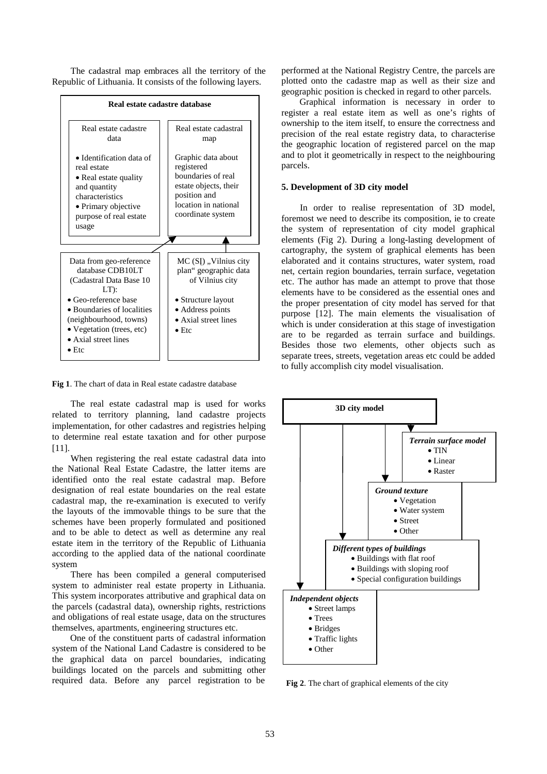The cadastral map embraces all the territory of the Republic of Lithuania. It consists of the following layers.



**Fig 1**. The chart of data in Real estate cadastre database

The real estate cadastral map is used for works related to territory planning, land cadastre projects implementation, for other cadastres and registries helping to determine real estate taxation and for other purpose [11].

When registering the real estate cadastral data into the National Real Estate Cadastre, the latter items are identified onto the real estate cadastral map. Before designation of real estate boundaries on the real estate cadastral map, the re-examination is executed to verify the layouts of the immovable things to be sure that the schemes have been properly formulated and positioned and to be able to detect as well as determine any real estate item in the territory of the Republic of Lithuania according to the applied data of the national coordinate system

There has been compiled a general computerised system to administer real estate property in Lithuania. This system incorporates attributive and graphical data on the parcels (cadastral data), ownership rights, restrictions and obligations of real estate usage, data on the structures themselves, apartments, engineering structures etc.

One of the constituent parts of cadastral information system of the National Land Cadastre is considered to be the graphical data on parcel boundaries, indicating buildings located on the parcels and submitting other required data. Before any parcel registration to be

performed at the National Registry Centre, the parcels are plotted onto the cadastre map as well as their size and geographic position is checked in regard to other parcels.

Graphical information is necessary in order to register a real estate item as well as one's rights of ownership to the item itself, to ensure the correctness and precision of the real estate registry data, to characterise the geographic location of registered parcel on the map and to plot it geometrically in respect to the neighbouring parcels.

# **5. Development of 3D city model**

In order to realise representation of 3D model, foremost we need to describe its composition, ie to create the system of representation of city model graphical elements (Fig 2). During a long-lasting development of cartography, the system of graphical elements has been elaborated and it contains structures, water system, road net, certain region boundaries, terrain surface, vegetation etc. The author has made an attempt to prove that those elements have to be considered as the essential ones and the proper presentation of city model has served for that purpose [12]. The main elements the visualisation of which is under consideration at this stage of investigation are to be regarded as terrain surface and buildings. Besides those two elements, other objects such as separate trees, streets, vegetation areas etc could be added to fully accomplish city model visualisation.



**Fig 2**. The chart of graphical elements of the city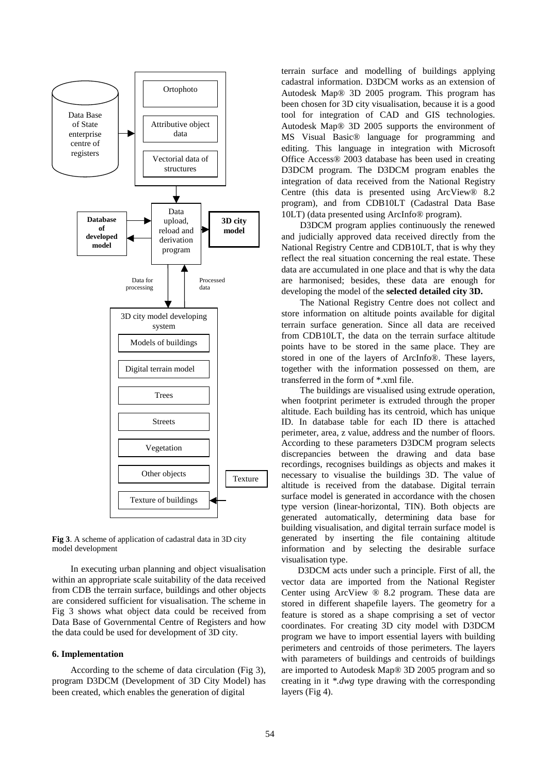

**Fig 3**. A scheme of application of cadastral data in 3D city model development

In executing urban planning and object visualisation within an appropriate scale suitability of the data received from CDB the terrain surface, buildings and other objects are considered sufficient for visualisation. The scheme in Fig 3 shows what object data could be received from Data Base of Governmental Centre of Registers and how the data could be used for development of 3D city.

## **6. Implementation**

According to the scheme of data circulation (Fig 3), program D3DCM (Development of 3D City Model) has been created, which enables the generation of digital

terrain surface and modelling of buildings applying cadastral information. D3DCM works as an extension of Autodesk Map® 3D 2005 program. This program has been chosen for 3D city visualisation, because it is a good tool for integration of CAD and GIS technologies. Autodesk Map® 3D 2005 supports the environment of MS Visual Basic® language for programming and editing. This language in integration with Microsoft Office Access® 2003 database has been used in creating D3DCM program. The D3DCM program enables the integration of data received from the National Registry Centre (this data is presented using ArcView® 8.2 program), and from CDB10LT (Cadastral Data Base 10LT) (data presented using ArcInfo® program).

D3DCM program applies continuously the renewed and judicially approved data received directly from the National Registry Centre and CDB10LT, that is why they reflect the real situation concerning the real estate. These data are accumulated in one place and that is why the data are harmonised; besides, these data are enough for developing the model of the **selected detailed city 3D.**

The National Registry Centre does not collect and store information on altitude points available for digital terrain surface generation. Since all data are received from CDB10LT, the data on the terrain surface altitude points have to be stored in the same place. They are stored in one of the layers of ArcInfo®. These layers, together with the information possessed on them, are transferred in the form of \*.xml file.

The buildings are visualised using extrude operation, when footprint perimeter is extruded through the proper altitude. Each building has its centroid, which has unique ID. In database table for each ID there is attached perimeter, area, z value, address and the number of floors. According to these parameters D3DCM program selects discrepancies between the drawing and data base recordings, recognises buildings as objects and makes it necessary to visualise the buildings 3D. The value of altitude is received from the database. Digital terrain surface model is generated in accordance with the chosen type version (linear-horizontal, TIN). Both objects are generated automatically, determining data base for building visualisation, and digital terrain surface model is generated by inserting the file containing altitude information and by selecting the desirable surface visualisation type.

D3DCM acts under such a principle. First of all, the vector data are imported from the National Register Center using ArcView ® 8.2 program. These data are stored in different shapefile layers. The geometry for a feature is stored as a shape comprising a set of vector coordinates. For creating 3D city model with D3DCM program we have to import essential layers with building perimeters and centroids of those perimeters. The layers with parameters of buildings and centroids of buildings are imported to Autodesk Map® 3D 2005 program and so creating in it *\*.dwg* type drawing with the corresponding layers (Fig 4).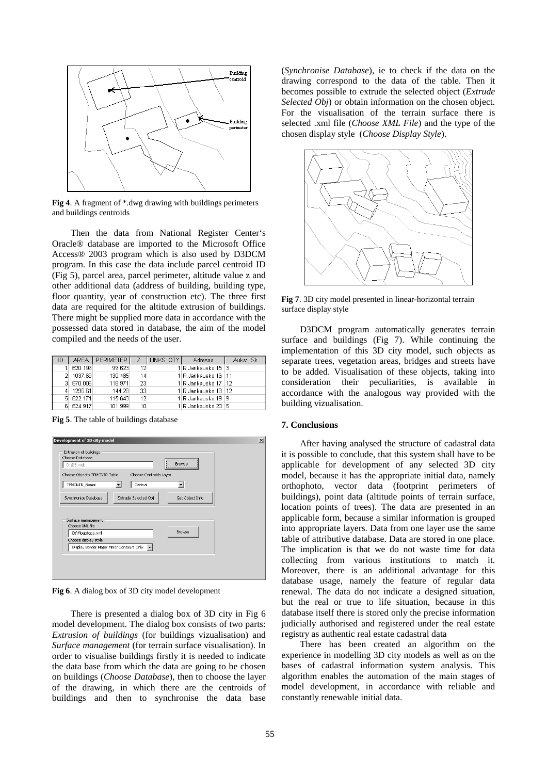

**Fig 4**. A fragment of \*.dwg drawing with buildings perimeters and buildings centroids

Then the data from National Register Center's Oracle® database are imported to the Microsoft Office Access® 2003 program which is also used by D3DCM program. In this case the data include parcel centroid ID (Fig 5), parcel area, parcel perimeter, altitude value z and other additional data (address of building, building type, floor quantity, year of construction etc). The three first data are required for the altitude extrusion of buildings. There might be supplied more data in accordance with the possessed data stored in database, the aim of the model compiled and the needs of the user.

| ID | AREA I    | <b>PERIMETER</b> |    | LINKS QTY | Adresas               | Aukst Sk |
|----|-----------|------------------|----|-----------|-----------------------|----------|
|    | 620.196   | 99.623           | 12 |           | 1 R.Jankausko 15   3  |          |
|    | 1037.69   | 130.485          | 14 |           | 1 R.Jankausko 16   11 |          |
|    | 3 870.006 | 118.971          | 23 |           | 1 R.Jankausko 17   12 |          |
|    | 1296.61   | 144.28           | 33 |           | 1 R.Jankausko 18   12 |          |
| 51 | 822.171   | 115.643          | 12 |           | 1 R.Jankausko 19 19   |          |
| 61 | 624 917   | 101 999          |    |           | 1 Rulankausko 2015    |          |

**Fig 5**. The table of buildings database



**Fig 6**. A dialog box of 3D city model development

There is presented a dialog box of 3D city in Fig 6 model development. The dialog box consists of two parts: *Extrusion of buildings* (for buildings vizualisation) and *Surface management* (for terrain surface visualisation). In order to visualise buildings firstly it is needed to indicate the data base from which the data are going to be chosen on buildings (*Choose Database*), then to choose the layer of the drawing, in which there are the centroids of buildings and then to synchronise the data base (*Synchronise Database*), ie to check if the data on the drawing correspond to the data of the table. Then it becomes possible to extrude the selected object (*Extrude Selected Obj*) or obtain information on the chosen object. For the visualisation of the terrain surface there is selected .xml file (*Choose XML File*) and the type of the chosen display style (*Choose Display Style*).



**Fig 7**. 3D city model presented in linear-horizontal terrain surface display style

D3DCM program automatically generates terrain surface and buildings (Fig 7). While continuing the implementation of this 3D city model, such objects as separate trees, vegetation areas, bridges and streets have to be added. Visualisation of these objects, taking into consideration their peculiarities, is available in accordance with the analogous way provided with the building vizualisation.

#### **7. Conclusions**

After having analysed the structure of cadastral data it is possible to conclude, that this system shall have to be applicable for development of any selected 3D city model, because it has the appropriate initial data, namely orthophoto, vector data (footprint perimeters of buildings), point data (altitude points of terrain surface, location points of trees). The data are presented in an applicable form, because a similar information is grouped into appropriate layers. Data from one layer use the same table of attributive database. Data are stored in one place. The implication is that we do not waste time for data collecting from various institutions to match it. Moreover, there is an additional advantage for this database usage, namely the feature of regular data renewal. The data do not indicate a designed situation, but the real or true to life situation, because in this database itself there is stored only the precise information judicially authorised and registered under the real estate registry as authentic real estate cadastral data

There has been created an algorithm on the experience in modelling 3D city models as well as on the bases of cadastral information system analysis. This algorithm enables the automation of the main stages of model development, in accordance with reliable and constantly renewable initial data.